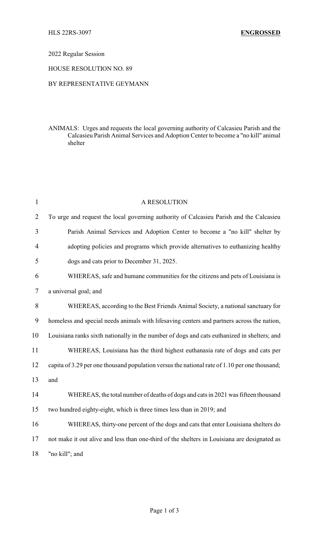## 2022 Regular Session

## HOUSE RESOLUTION NO. 89

## BY REPRESENTATIVE GEYMANN

ANIMALS: Urges and requests the local governing authority of Calcasieu Parish and the Calcasieu Parish Animal Services and Adoption Center to become a "no kill" animal shelter

| 1              | A RESOLUTION                                                                                  |
|----------------|-----------------------------------------------------------------------------------------------|
| $\overline{2}$ | To urge and request the local governing authority of Calcasieu Parish and the Calcasieu       |
| 3              | Parish Animal Services and Adoption Center to become a "no kill" shelter by                   |
| 4              | adopting policies and programs which provide alternatives to euthanizing healthy              |
| 5              | dogs and cats prior to December 31, 2025.                                                     |
| 6              | WHEREAS, safe and humane communities for the citizens and pets of Louisiana is                |
| 7              | a universal goal; and                                                                         |
| 8              | WHEREAS, according to the Best Friends Animal Society, a national sanctuary for               |
| 9              | homeless and special needs animals with lifesaving centers and partners across the nation,    |
| 10             | Louisiana ranks sixth nationally in the number of dogs and cats euthanized in shelters; and   |
| 11             | WHEREAS, Louisiana has the third highest euthanasia rate of dogs and cats per                 |
| 12             | capita of 3.29 per one thousand population versus the national rate of 1.10 per one thousand; |
| 13             | and                                                                                           |
| 14             | WHEREAS, the total number of deaths of dogs and cats in 2021 was fifteen thousand             |
| 15             | two hundred eighty-eight, which is three times less than in 2019; and                         |
| 16             | WHEREAS, thirty-one percent of the dogs and cats that enter Louisiana shelters do             |
| 17             | not make it out alive and less than one-third of the shelters in Louisiana are designated as  |
| 18             | "no kill"; and                                                                                |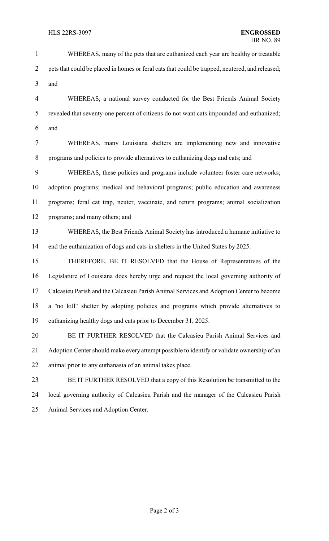WHEREAS, many of the pets that are euthanized each year are healthy or treatable 2 pets that could be placed in homes or feral cats that could be trapped, neutered, and released; and WHEREAS, a national survey conducted for the Best Friends Animal Society revealed that seventy-one percent of citizens do not want cats impounded and euthanized; and WHEREAS, many Louisiana shelters are implementing new and innovative programs and policies to provide alternatives to euthanizing dogs and cats; and WHEREAS, these policies and programs include volunteer foster care networks; adoption programs; medical and behavioral programs; public education and awareness programs; feral cat trap, neuter, vaccinate, and return programs; animal socialization programs; and many others; and WHEREAS, the Best Friends Animal Society has introduced a humane initiative to end the euthanization of dogs and cats in shelters in the United States by 2025. THEREFORE, BE IT RESOLVED that the House of Representatives of the Legislature of Louisiana does hereby urge and request the local governing authority of Calcasieu Parish and the Calcasieu Parish Animal Services and Adoption Center to become a "no kill" shelter by adopting policies and programs which provide alternatives to euthanizing healthy dogs and cats prior to December 31, 2025. BE IT FURTHER RESOLVED that the Calcasieu Parish Animal Services and Adoption Center should make every attempt possible to identify or validate ownership of an animal prior to any euthanasia of an animal takes place. BE IT FURTHER RESOLVED that a copy of this Resolution be transmitted to the local governing authority of Calcasieu Parish and the manager of the Calcasieu Parish Animal Services and Adoption Center.